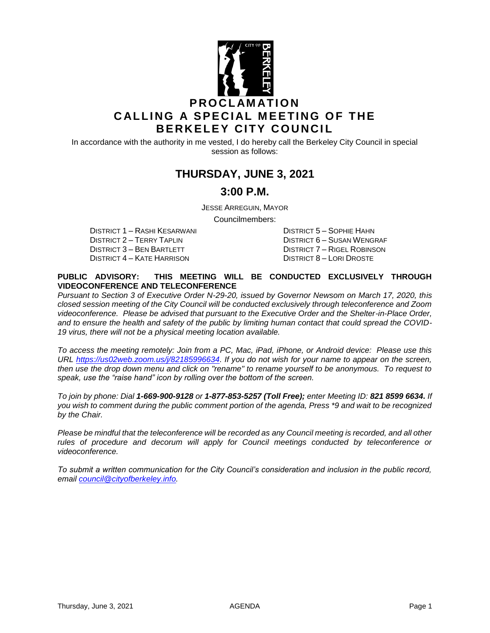

In accordance with the authority in me vested, I do hereby call the Berkeley City Council in special session as follows:

# **THURSDAY, JUNE 3, 2021**

#### **3:00 P.M.**

JESSE ARREGUIN, MAYOR

Councilmembers:

DISTRICT 1 – RASHI KESARWANI DISTRICT 5 – SOPHIE HAHN DISTRICT 3 – BEN BARTLETT DISTRICT 7 – RIGEL ROBINSON DISTRICT 4 – KATE HARRISON DISTRICT 8 – LORI DROSTE

DISTRICT 6 – SUSAN WENGRAF

#### **PUBLIC ADVISORY: THIS MEETING WILL BE CONDUCTED EXCLUSIVELY THROUGH VIDEOCONFERENCE AND TELECONFERENCE**

*Pursuant to Section 3 of Executive Order N-29-20, issued by Governor Newsom on March 17, 2020, this closed session meeting of the City Council will be conducted exclusively through teleconference and Zoom videoconference. Please be advised that pursuant to the Executive Order and the Shelter-in-Place Order, and to ensure the health and safety of the public by limiting human contact that could spread the COVID-19 virus, there will not be a physical meeting location available.* 

*To access the meeting remotely: Join from a PC, Mac, iPad, iPhone, or Android device: Please use this URL [https://us02web.zoom.us/j/82185996634.](https://us02web.zoom.us/j/82185996634) If you do not wish for your name to appear on the screen, then use the drop down menu and click on "rename" to rename yourself to be anonymous. To request to speak, use the "raise hand" icon by rolling over the bottom of the screen.* 

*To join by phone: Dial 1-669-900-9128 or 1-877-853-5257 (Toll Free); enter Meeting ID: 821 8599 6634. If you wish to comment during the public comment portion of the agenda, Press \*9 and wait to be recognized by the Chair.* 

*Please be mindful that the teleconference will be recorded as any Council meeting is recorded, and all other rules of procedure and decorum will apply for Council meetings conducted by teleconference or videoconference.*

*To submit a written communication for the City Council's consideration and inclusion in the public record, email [council@cityofberkeley.info.](mailto:council@cityofberkeley.info)*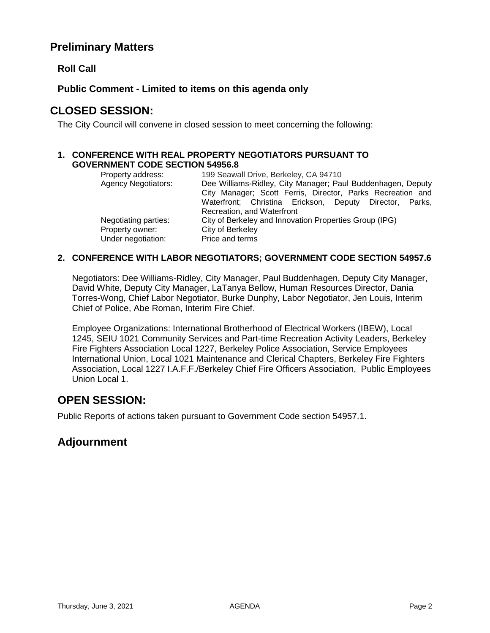## **Preliminary Matters**

#### **Roll Call**

**Public Comment - Limited to items on this agenda only**

## **CLOSED SESSION:**

The City Council will convene in closed session to meet concerning the following:

#### **1. CONFERENCE WITH REAL PROPERTY NEGOTIATORS PURSUANT TO GOVERNMENT CODE SECTION 54956.8**

| Property address:          | 199 Seawall Drive, Berkeley, CA 94710                       |
|----------------------------|-------------------------------------------------------------|
| <b>Agency Negotiators:</b> | Dee Williams-Ridley, City Manager; Paul Buddenhagen, Deputy |
|                            | City Manager; Scott Ferris, Director, Parks Recreation and  |
|                            | Waterfront; Christina Erickson, Deputy Director, Parks,     |
|                            | Recreation, and Waterfront                                  |
| Negotiating parties:       | City of Berkeley and Innovation Properties Group (IPG)      |
| Property owner:            | City of Berkeley                                            |
| Under negotiation:         | Price and terms                                             |

#### **2. CONFERENCE WITH LABOR NEGOTIATORS; GOVERNMENT CODE SECTION 54957.6**

Negotiators: Dee Williams-Ridley, City Manager, Paul Buddenhagen, Deputy City Manager, David White, Deputy City Manager, LaTanya Bellow, Human Resources Director, Dania Torres-Wong, Chief Labor Negotiator, Burke Dunphy, Labor Negotiator, Jen Louis, Interim Chief of Police, Abe Roman, Interim Fire Chief.

Employee Organizations: International Brotherhood of Electrical Workers (IBEW), Local 1245, SEIU 1021 Community Services and Part-time Recreation Activity Leaders, Berkeley Fire Fighters Association Local 1227, Berkeley Police Association, Service Employees International Union, Local 1021 Maintenance and Clerical Chapters, Berkeley Fire Fighters Association, Local 1227 I.A.F.F./Berkeley Chief Fire Officers Association, Public Employees Union Local 1.

### **OPEN SESSION:**

Public Reports of actions taken pursuant to Government Code section 54957.1.

### **Adjournment**